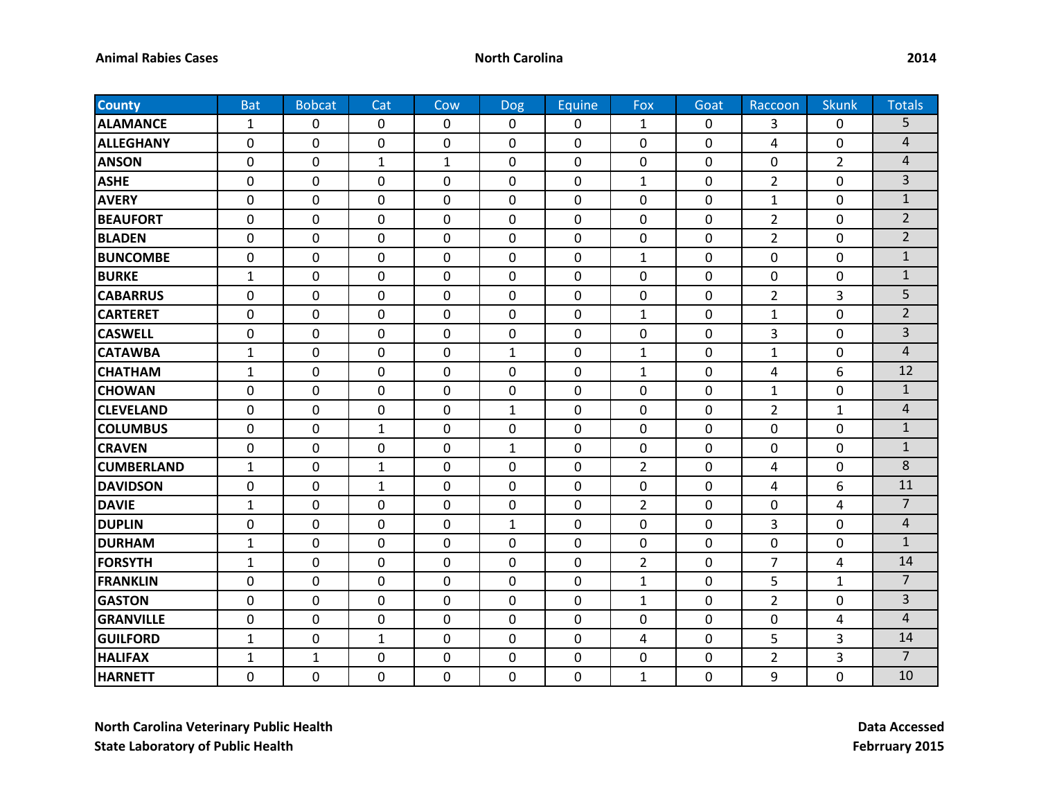| <b>County</b>     | <b>Bat</b>     | <b>Bobcat</b>    | Cat            | Cow            | <b>Dog</b>   | Equine       | Fox            | Goat           | Raccoon        | <b>Skunk</b>   | <b>Totals</b>  |
|-------------------|----------------|------------------|----------------|----------------|--------------|--------------|----------------|----------------|----------------|----------------|----------------|
| <b>ALAMANCE</b>   | 1              | 0                | 0              | 0              | 0            | 0            | $\mathbf{1}$   | 0              | 3              | 0              | 5              |
| <b>ALLEGHANY</b>  | 0              | $\mathbf 0$      | $\mathbf 0$    | $\pmb{0}$      | 0            | $\Omega$     | $\mathbf 0$    | 0              | 4              | 0              | 4              |
| <b>ANSON</b>      | 0              | $\mathbf 0$      | $\mathbf{1}$   | $\mathbf{1}$   | 0            | 0            | 0              | 0              | 0              | $\overline{2}$ | $\overline{4}$ |
| <b>ASHE</b>       | 0              | $\mathbf 0$      | 0              | $\mathbf 0$    | 0            | 0            | $\mathbf{1}$   | 0              | $\overline{2}$ | 0              | 3              |
| <b>AVERY</b>      | 0              | 0                | $\mathbf 0$    | 0              | 0            | 0            | 0              | 0              | $\mathbf{1}$   | 0              | $\mathbf{1}$   |
| <b>BEAUFORT</b>   | 0              | $\mathbf 0$      | $\mathbf 0$    | $\mathbf 0$    | 0            | $\Omega$     | 0              | 0              | $\overline{2}$ | 0              | $\overline{2}$ |
| <b>BLADEN</b>     | 0              | $\mathbf 0$      | $\mathbf 0$    | 0              | 0            | 0            | 0              | $\mathbf 0$    | $\overline{2}$ | 0              | $\overline{2}$ |
| <b>BUNCOMBE</b>   | 0              | $\mathbf 0$      | $\mathbf 0$    | $\mathbf 0$    | 0            | $\mathbf 0$  | $\mathbf{1}$   | 0              | $\mathbf 0$    | 0              | $\mathbf{1}$   |
| <b>BURKE</b>      | $\mathbf{1}$   | $\mathbf 0$      | $\mathbf 0$    | $\mathbf 0$    | 0            | 0            | $\mathbf 0$    | 0              | $\mathbf 0$    | 0              | $\mathbf{1}$   |
| <b>CABARRUS</b>   | $\mathbf 0$    | $\mathbf 0$      | $\mathbf 0$    | $\mathbf 0$    | 0            | 0            | $\mathbf 0$    | 0              | $\overline{2}$ | 3              | 5              |
| <b>CARTERET</b>   | 0              | $\mathbf 0$      | $\mathbf 0$    | $\mathbf 0$    | 0            | 0            | $\mathbf{1}$   | 0              | $\mathbf{1}$   | 0              | $\overline{2}$ |
| <b>CASWELL</b>    | 0              | $\mathbf 0$      | $\mathbf 0$    | 0              | 0            | $\Omega$     | 0              | 0              | 3              | 0              | $\overline{3}$ |
| <b>CATAWBA</b>    | $\mathbf{1}$   | $\overline{0}$   | $\overline{0}$ | $\mathbf 0$    | $\mathbf{1}$ | 0            | $\mathbf{1}$   | 0              | $\mathbf{1}$   | 0              | $\overline{4}$ |
| <b>CHATHAM</b>    | $\mathbf{1}$   | $\overline{0}$   | $\overline{0}$ | $\mathbf 0$    | 0            | 0            | $\mathbf{1}$   | 0              | 4              | 6              | 12             |
| <b>CHOWAN</b>     | 0              | $\mathbf 0$      | $\mathbf 0$    | $\mathbf 0$    | 0            | 0            | $\mathbf 0$    | 0              | $\mathbf{1}$   | 0              | $\mathbf 1$    |
| <b>CLEVELAND</b>  | 0              | $\boldsymbol{0}$ | $\mathbf 0$    | $\pmb{0}$      | 1            | 0            | 0              | 0              | $\overline{2}$ | 1              | $\overline{4}$ |
| <b>COLUMBUS</b>   | 0              | $\mathbf 0$      | $\mathbf{1}$   | $\mathbf 0$    | 0            | 0            | 0              | 0              | 0              | 0              | $\mathbf 1$    |
| <b>CRAVEN</b>     | 0              | $\mathbf 0$      | $\mathbf 0$    | 0              | 1            | $\Omega$     | 0              | 0              | 0              | 0              | $\mathbf{1}$   |
| <b>CUMBERLAND</b> | $\mathbf{1}$   | 0                | $\mathbf{1}$   | 0              | 0            | 0            | $\overline{2}$ | $\mathbf 0$    | 4              | 0              | 8              |
| <b>DAVIDSON</b>   | 0              | $\mathbf 0$      | $\mathbf 1$    | $\mathbf 0$    | 0            | $\mathbf 0$  | $\mathbf 0$    | 0              | 4              | 6              | 11             |
| <b>DAVIE</b>      | $\mathbf{1}$   | 0                | $\mathbf 0$    | $\mathbf 0$    | 0            | 0            | $\overline{2}$ | 0              | 0              | 4              | $\overline{7}$ |
| <b>DUPLIN</b>     | 0              | $\mathbf 0$      | $\mathbf 0$    | $\mathbf 0$    | 1            | 0            | $\mathbf 0$    | 0              | 3              | 0              | $\overline{4}$ |
| <b>DURHAM</b>     | $\mathbf{1}$   | $\mathbf 0$      | $\mathbf{0}$   | $\mathbf 0$    | 0            | $\mathbf{0}$ | $\mathbf 0$    | 0              | $\mathbf 0$    | 0              | $\mathbf{1}$   |
| <b>FORSYTH</b>    | $\mathbf{1}$   | 0                | 0              | 0              | 0            | $\Omega$     | $\overline{2}$ | 0              | 7              | 4              | 14             |
| <b>FRANKLIN</b>   | 0              | $\mathbf 0$      | $\overline{0}$ | $\mathbf 0$    | 0            | 0            | $\mathbf{1}$   | 0              | 5              | 1              | $\overline{7}$ |
| <b>GASTON</b>     | 0              | $\mathbf 0$      | $\mathbf 0$    | $\mathbf 0$    | 0            | $\mathbf{0}$ | $\mathbf{1}$   | $\mathbf 0$    | $\overline{2}$ | 0              | 3              |
| <b>GRANVILLE</b>  | 0              | $\mathbf 0$      | $\mathbf 0$    | $\mathbf 0$    | 0            | 0            | $\mathbf 0$    | 0              | $\mathbf 0$    | 4              | $\overline{4}$ |
| <b>GUILFORD</b>   | $\mathbf{1}$   | $\mathbf 0$      | $\mathbf{1}$   | $\mathbf 0$    | 0            | 0            | 4              | $\mathbf 0$    | 5              | 3              | 14             |
| <b>HALIFAX</b>    | $\mathbf{1}$   | $\mathbf{1}$     | $\mathbf 0$    | 0              | 0            | 0            | $\mathbf 0$    | 0              | $\overline{2}$ | 3              | $\overline{7}$ |
| <b>HARNETT</b>    | $\overline{0}$ | $\overline{0}$   | $\overline{0}$ | $\overline{0}$ | 0            | $\mathbf 0$  | $\mathbf{1}$   | $\overline{0}$ | 9              | 0              | 10             |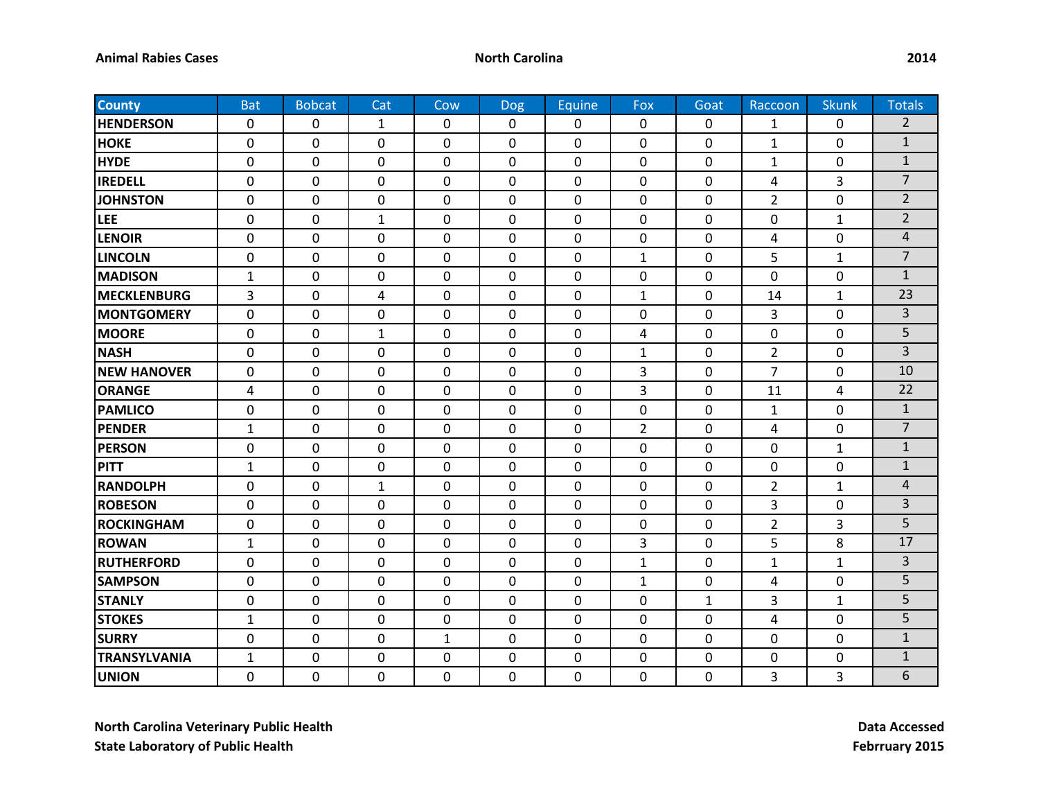| <b>County</b>       | <b>Bat</b>     | <b>Bobcat</b>  | Cat              | Cow          | <b>Dog</b>     | Equine       | Fox            | Goat           | Raccoon        | <b>Skunk</b>   | <b>Totals</b>  |
|---------------------|----------------|----------------|------------------|--------------|----------------|--------------|----------------|----------------|----------------|----------------|----------------|
| <b>HENDERSON</b>    | 0              | 0              | $\mathbf{1}$     | $\mathbf 0$  | 0              | 0            | 0              | 0              | 1              | 0              | $\overline{2}$ |
| <b>HOKE</b>         | 0              | 0              | $\mathbf 0$      | $\mathbf 0$  | $\mathbf 0$    | $\mathbf{0}$ | $\mathbf 0$    | 0              | $\mathbf{1}$   | $\mathbf 0$    | $\mathbf{1}$   |
| <b>HYDE</b>         | 0              | 0              | 0                | 0            | 0              | 0            | 0              | 0              | $\mathbf{1}$   | 0              | $\mathbf{1}$   |
| <b>IREDELL</b>      | 0              | 0              | $\mathbf 0$      | $\mathbf 0$  | 0              | 0            | 0              | 0              | 4              | 3              | $\overline{7}$ |
| <b>JOHNSTON</b>     | 0              | 0              | 0                | 0            | 0              | 0            | 0              | 0              | $\overline{2}$ | $\mathbf 0$    | $\overline{2}$ |
| <b>LEE</b>          | 0              | 0              | $\mathbf{1}$     | $\mathbf 0$  | 0              | $\Omega$     | 0              | 0              | 0              | 1              | $\overline{2}$ |
| <b>LENOIR</b>       | 0              | 0              | $\mathbf 0$      | $\mathbf 0$  | $\mathbf 0$    | 0            | 0              | 0              | 4              | $\mathbf 0$    | 4              |
| <b>LINCOLN</b>      | 0              | 0              | $\mathbf 0$      | $\mathbf{0}$ | $\mathbf{0}$   | $\mathbf 0$  | $\mathbf{1}$   | $\mathbf 0$    | 5              | $\mathbf{1}$   | $\overline{7}$ |
| <b>MADISON</b>      | $\mathbf{1}$   | 0              | 0                | $\mathbf 0$  | 0              | 0            | 0              | 0              | 0              | 0              | $\mathbf{1}$   |
| <b>MECKLENBURG</b>  | 3              | 0              | 4                | $\mathbf 0$  | $\mathbf 0$    | 0            | $\mathbf{1}$   | $\mathbf 0$    | 14             | $\mathbf{1}$   | 23             |
| <b>MONTGOMERY</b>   | 0              | 0              | $\mathbf 0$      | $\mathbf{0}$ | $\mathbf{0}$   | $\mathbf 0$  | 0              | $\mathbf 0$    | 3              | 0              | $\overline{3}$ |
| <b>MOORE</b>        | 0              | 0              | $\mathbf{1}$     | 0            | $\Omega$       | $\Omega$     | 4              | 0              | 0              | 0              | 5              |
| <b>NASH</b>         | 0              | $\overline{0}$ | $\mathbf 0$      | $\mathbf 0$  | $\overline{0}$ | $\mathbf 0$  | $\mathbf{1}$   | $\mathbf 0$    | $\overline{2}$ | $\mathbf 0$    | $\overline{3}$ |
| <b>NEW HANOVER</b>  | $\overline{0}$ | $\overline{0}$ | $\mathbf 0$      | $\mathbf 0$  | $\overline{0}$ | $\Omega$     | 3              | $\mathbf 0$    | $\overline{7}$ | $\overline{0}$ | 10             |
| <b>ORANGE</b>       | 4              | 0              | 0                | $\mathbf 0$  | 0              | 0            | 3              | $\mathbf 0$    | 11             | 4              | 22             |
| <b>PAMLICO</b>      | 0              | 0              | $\boldsymbol{0}$ | 0            | 0              | 0            | 0              | 0              | 1              | 0              | $\mathbf{1}$   |
| <b>PENDER</b>       | $\mathbf{1}$   | 0              | 0                | 0            | 0              | 0            | $\overline{2}$ | 0              | 4              | 0              | $\overline{7}$ |
| <b>PERSON</b>       | 0              | 0              | 0                | 0            | 0              | $\Omega$     | 0              | 0              | 0              | 1              | $\mathbf{1}$   |
| <b>PITT</b>         | $\mathbf{1}$   | 0              | $\pmb{0}$        | 0            | 0              | 0            | 0              | 0              | 0              | $\mathbf 0$    | $\mathbf{1}$   |
| <b>RANDOLPH</b>     | 0              | 0              | $\mathbf{1}$     | $\mathbf{0}$ | $\mathbf 0$    | $\mathbf 0$  | 0              | $\mathbf 0$    | $\overline{2}$ | $\mathbf{1}$   | $\overline{4}$ |
| <b>ROBESON</b>      | 0              | 0              | 0                | 0            | 0              | 0            | 0              | 0              | 3              | 0              | $\overline{3}$ |
| <b>ROCKINGHAM</b>   | 0              | 0              | $\mathbf 0$      | $\mathbf 0$  | $\mathbf 0$    | 0            | 0              | 0              | $\overline{2}$ | 3              | 5              |
| <b>ROWAN</b>        | $\mathbf{1}$   | 0              | $\mathbf 0$      | $\mathbf{0}$ | $\mathbf 0$    | $\mathbf 0$  | 3              | $\mathbf 0$    | 5              | 8              | 17             |
| <b>RUTHERFORD</b>   | 0              | 0              | 0                | 0            | $\Omega$       | $\Omega$     | $\mathbf{1}$   | 0              | $\mathbf{1}$   | 1              | $\overline{3}$ |
| <b>SAMPSON</b>      | 0              | 0              | $\mathbf 0$      | $\mathbf{0}$ | $\overline{0}$ | $\mathbf 0$  | $\mathbf{1}$   | 0              | 4              | 0              | 5              |
| <b>STANLY</b>       | 0              | $\mathbf 0$    | $\mathbf 0$      | $\mathbf 0$  | $\mathbf 0$    | $\mathbf 0$  | 0              | $\mathbf{1}$   | 3              | $\mathbf{1}$   | 5              |
| <b>STOKES</b>       | $\mathbf{1}$   | 0              | $\mathbf 0$      | $\mathbf 0$  | $\mathbf 0$    | 0            | 0              | 0              | 4              | 0              | 5              |
| <b>SURRY</b>        | 0              | $\mathbf 0$    | $\mathbf 0$      | $\mathbf{1}$ | 0              | $\mathbf 0$  | 0              | $\mathbf 0$    | 0              | 0              | $\mathbf{1}$   |
| <b>TRANSYLVANIA</b> | $\mathbf{1}$   | 0              | $\mathbf 0$      | $\mathbf 0$  | 0              | 0            | 0              | $\mathbf 0$    | 0              | 0              | $\mathbf{1}$   |
| <b>UNION</b>        | 0              | $\overline{0}$ | $\mathbf 0$      | $\mathbf 0$  | $\overline{0}$ | $\mathbf 0$  | 0              | $\overline{0}$ | 3              | 3              | 6              |